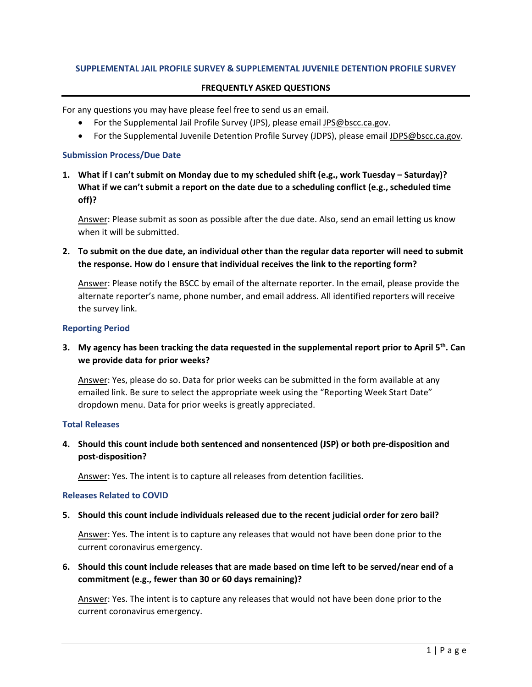### **SUPPLEMENTAL JAIL PROFILE SURVEY & SUPPLEMENTAL JUVENILE DETENTION PROFILE SURVEY**

### **FREQUENTLY ASKED QUESTIONS**

For any questions you may have please feel free to send us an email.

- For the Supplemental Jail Profile Survey (JPS), please email [JPS@bscc.ca.gov.](mailto:JPS@bscc.ca.gov)
- For the Supplemental Juvenile Detention Profile Survey (JDPS), please emai[l JDPS@bscc.ca.gov.](mailto:JDPS@bscc.ca.gov)

#### **Submission Process/Due Date**

**1. What if I can't submit on Monday due to my scheduled shift (e.g., work Tuesday – Saturday)? What if we can't submit a report on the date due to a scheduling conflict (e.g., scheduled time off)?**

Answer: Please submit as soon as possible after the due date. Also, send an email letting us know when it will be submitted.

**2. To submit on the due date, an individual other than the regular data reporter will need to submit the response. How do I ensure that individual receives the link to the reporting form?**

Answer: Please notify the BSCC by email of the alternate reporter. In the email, please provide the alternate reporter's name, phone number, and email address. All identified reporters will receive the survey link.

### **Reporting Period**

**3. My agency has been tracking the data requested in the supplemental report prior to April 5th. Can we provide data for prior weeks?** 

Answer: Yes, please do so. Data for prior weeks can be submitted in the form available at any emailed link. Be sure to select the appropriate week using the "Reporting Week Start Date" dropdown menu. Data for prior weeks is greatly appreciated.

### **Total Releases**

**4. Should this count include both sentenced and nonsentenced (JSP) or both pre-disposition and post-disposition?** 

Answer: Yes. The intent is to capture all releases from detention facilities.

# **Releases Related to COVID**

**5. Should this count include individuals released due to the recent judicial order for zero bail?** 

Answer: Yes. The intent is to capture any releases that would not have been done prior to the current coronavirus emergency.

**6. Should this count include releases that are made based on time left to be served/near end of a commitment (e.g., fewer than 30 or 60 days remaining)?**

Answer: Yes. The intent is to capture any releases that would not have been done prior to the current coronavirus emergency.